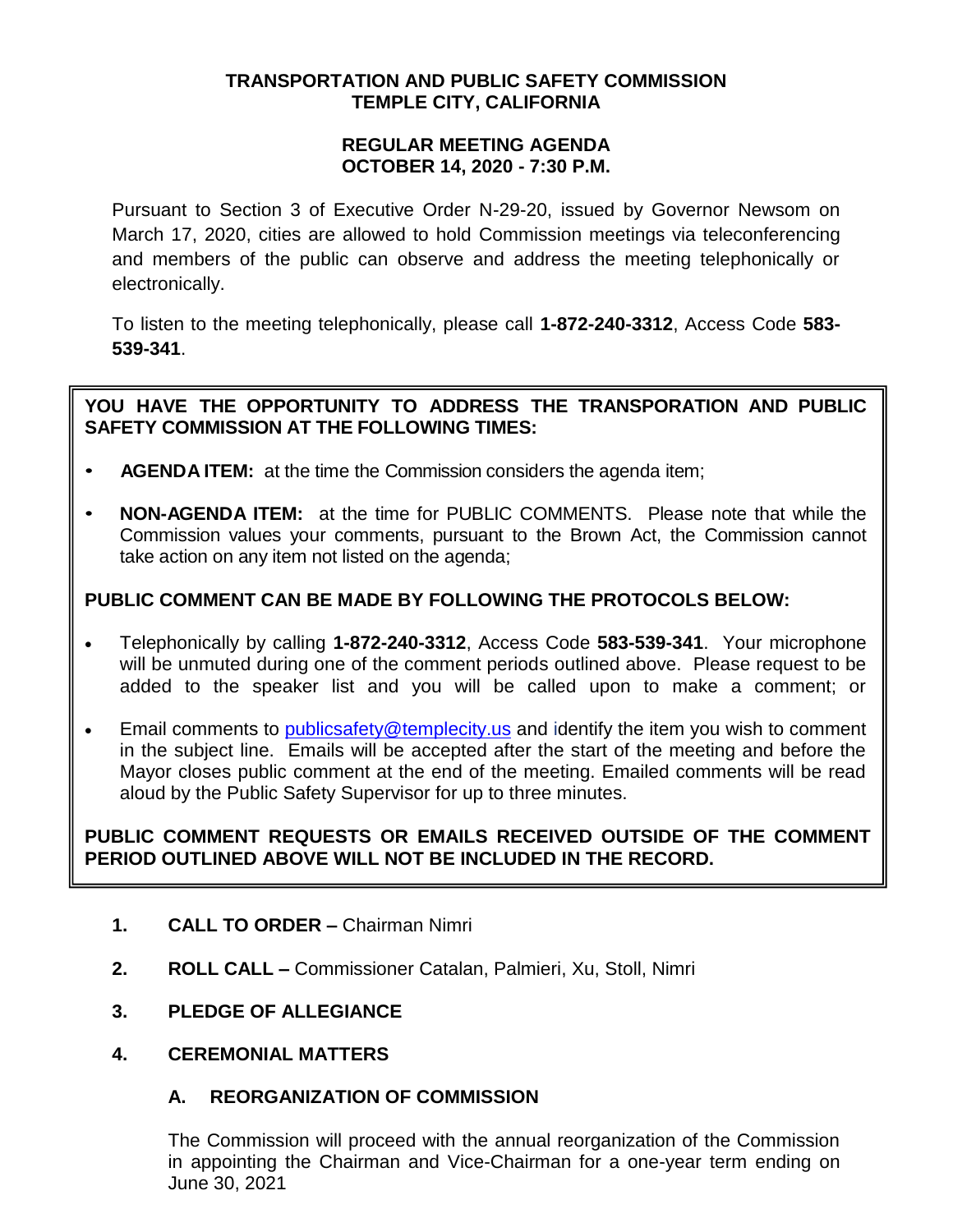## **TRANSPORTATION AND PUBLIC SAFETY COMMISSION TEMPLE CITY, CALIFORNIA**

### **REGULAR MEETING AGENDA OCTOBER 14, 2020 - 7:30 P.M.**

Pursuant to Section 3 of Executive Order N-29-20, issued by Governor Newsom on March 17, 2020, cities are allowed to hold Commission meetings via teleconferencing and members of the public can observe and address the meeting telephonically or electronically.

To listen to the meeting telephonically, please call **1-872-240-3312**, Access Code **583- 539-341**.

## **YOU HAVE THE OPPORTUNITY TO ADDRESS THE TRANSPORATION AND PUBLIC SAFETY COMMISSION AT THE FOLLOWING TIMES:**

- **AGENDA ITEM:** at the time the Commission considers the agenda item;
- **NON-AGENDA ITEM:** at the time for PUBLIC COMMENTS. Please note that while the Commission values your comments, pursuant to the Brown Act, the Commission cannot take action on any item not listed on the agenda;

# **PUBLIC COMMENT CAN BE MADE BY FOLLOWING THE PROTOCOLS BELOW:**

- Telephonically by calling **1-872-240-3312**, Access Code **583-539-341**. Your microphone will be unmuted during one of the comment periods outlined above. Please request to be added to the speaker list and you will be called upon to make a comment; or
- Email comments to [publicsafety@templecity.us](mailto:publicsafety@templecity.us) and identify the item you wish to comment in the subject line. Emails will be accepted after the start of the meeting and before the Mayor closes public comment at the end of the meeting. Emailed comments will be read aloud by the Public Safety Supervisor for up to three minutes.

# **PUBLIC COMMENT REQUESTS OR EMAILS RECEIVED OUTSIDE OF THE COMMENT PERIOD OUTLINED ABOVE WILL NOT BE INCLUDED IN THE RECORD.**

- **1. CALL TO ORDER –** Chairman Nimri
- **2. ROLL CALL –** Commissioner Catalan, Palmieri, Xu, Stoll, Nimri
- **3. PLEDGE OF ALLEGIANCE**
- **4. CEREMONIAL MATTERS**

# **A. REORGANIZATION OF COMMISSION**

The Commission will proceed with the annual reorganization of the Commission in appointing the Chairman and Vice-Chairman for a one-year term ending on June 30, 2021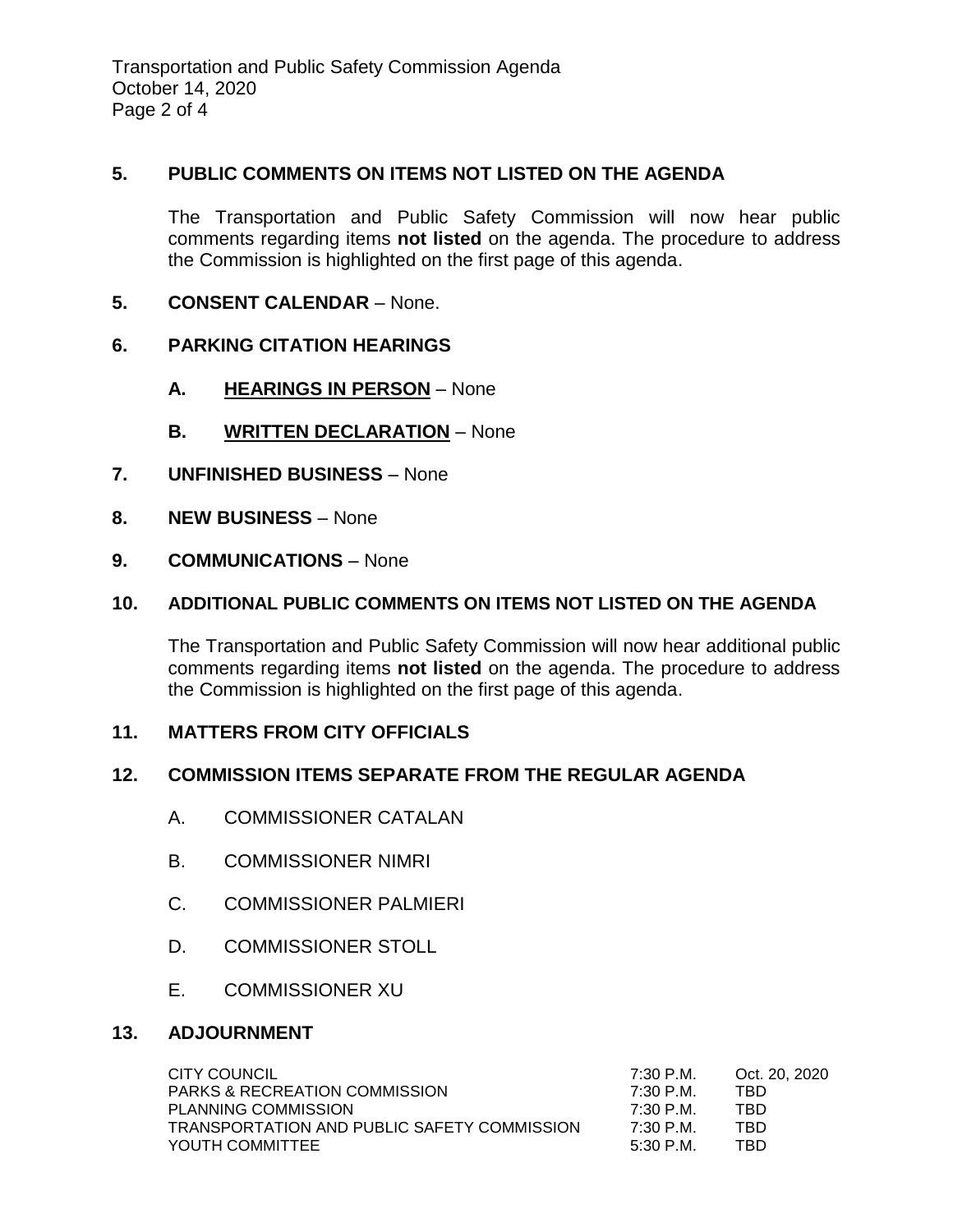Transportation and Public Safety Commission Agenda October 14, 2020 Page 2 of 4

### **5. PUBLIC COMMENTS ON ITEMS NOT LISTED ON THE AGENDA**

The Transportation and Public Safety Commission will now hear public comments regarding items **not listed** on the agenda. The procedure to address the Commission is highlighted on the first page of this agenda.

**5. CONSENT CALENDAR** – None.

### **6. PARKING CITATION HEARINGS**

- **A. HEARINGS IN PERSON** None
- **B. WRITTEN DECLARATION** None
- **7. UNFINISHED BUSINESS** None
- **8. NEW BUSINESS** None
- **9. COMMUNICATIONS** None

### **10. ADDITIONAL PUBLIC COMMENTS ON ITEMS NOT LISTED ON THE AGENDA**

The Transportation and Public Safety Commission will now hear additional public comments regarding items **not listed** on the agenda. The procedure to address the Commission is highlighted on the first page of this agenda.

### **11. MATTERS FROM CITY OFFICIALS**

### **12. COMMISSION ITEMS SEPARATE FROM THE REGULAR AGENDA**

- A. COMMISSIONER CATALAN
- B. COMMISSIONER NIMRI
- C. COMMISSIONER PALMIERI
- D. COMMISSIONER STOLL
- E. COMMISSIONER XU

### **13. ADJOURNMENT**

| CITY COUNCIL                                | 7:30 P.M. | Oct. 20, 2020 |
|---------------------------------------------|-----------|---------------|
| <b>PARKS &amp; RECREATION COMMISSION</b>    | 7:30 P M  | TRD           |
| <b>PLANNING COMMISSION</b>                  | 7:30 P.M. | TBD           |
| TRANSPORTATION AND PUBLIC SAFETY COMMISSION | 7:30 P.M. | TBD           |
| YOUTH COMMITTEE                             | 5:30 P M  | TRD           |